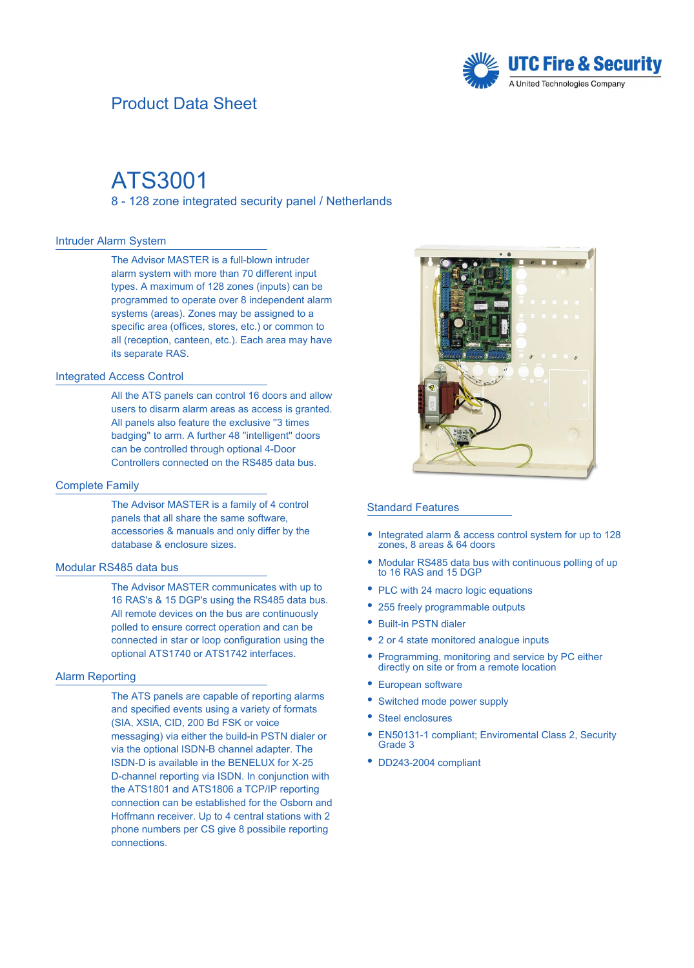# Product Data Sheet



# ATS3001

8 - 128 zone integrated security panel / Netherlands

#### Intruder Alarm System

The Advisor MASTER is a full-blown intruder alarm system with more than 70 different input types. A maximum of 128 zones (inputs) can be programmed to operate over 8 independent alarm systems (areas). Zones may be assigned to a specific area (offices, stores, etc.) or common to all (reception, canteen, etc.). Each area may have its separate RAS.

#### Integrated Access Control

All the ATS panels can control 16 doors and allow users to disarm alarm areas as access is granted. All panels also feature the exclusive ''3 times badging'' to arm. A further 48 ''intelligent'' doors can be controlled through optional 4-Door Controllers connected on the RS485 data bus.

#### Complete Family

The Advisor MASTER is a family of 4 control panels that all share the same software, accessories & manuals and only differ by the database & enclosure sizes.

#### Modular RS485 data bus

The Advisor MASTER communicates with up to 16 RAS's & 15 DGP's using the RS485 data bus. All remote devices on the bus are continuously polled to ensure correct operation and can be connected in star or loop configuration using the optional ATS1740 or ATS1742 interfaces.

## Alarm Reporting

The ATS panels are capable of reporting alarms and specified events using a variety of formats (SIA, XSIA, CID, 200 Bd FSK or voice messaging) via either the build-in PSTN dialer or via the optional ISDN-B channel adapter. The ISDN-D is available in the BENELUX for X-25 D-channel reporting via ISDN. In conjunction with the ATS1801 and ATS1806 a TCP/IP reporting connection can be established for the Osborn and Hoffmann receiver. Up to 4 central stations with 2 phone numbers per CS give 8 possibile reporting connections.



#### Standard Features

- Integrated alarm & access control system for up to 128 zones, 8 areas & 64 doors
- Modular RS485 data bus with continuous polling of up to 16 RAS and 15 DGP  $\bullet$
- PLC with 24 macro logic equations
- 255 freely programmable outputs
- Built-in PSTN dialer
- 2 or 4 state monitored analogue inputs
- Programming, monitoring and service by PC either directly on site or from a remote location  $\bullet$
- $\bullet$ European software
- ESwitched mode power supply
- ESteel enclosures
- EN50131-1 compliant; Enviromental Class 2, Security Grade 3  $\bullet$
- DD243-2004 compliant